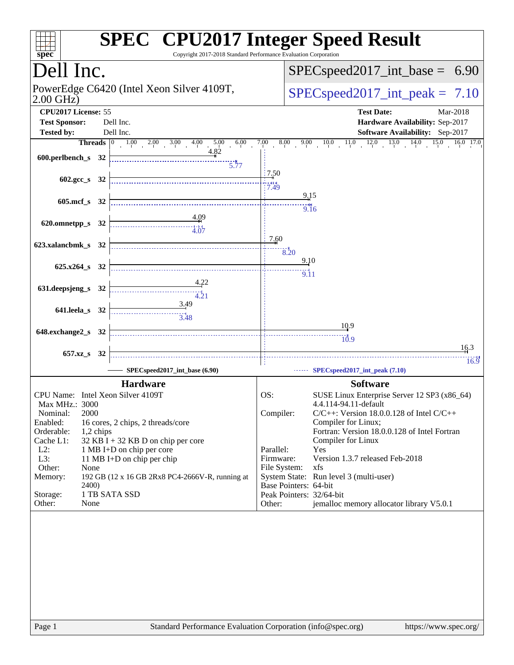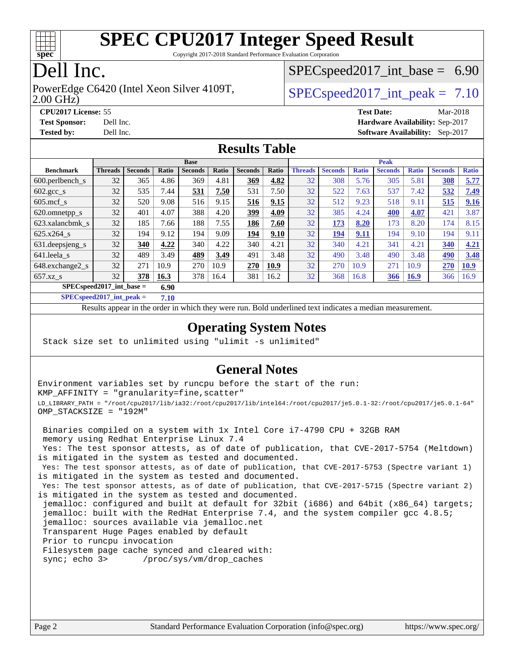

Copyright 2017-2018 Standard Performance Evaluation Corporation

## Dell Inc.

2.00 GHz) PowerEdge C6420 (Intel Xeon Silver 4109T,  $\vert$  [SPECspeed2017\\_int\\_peak =](http://www.spec.org/auto/cpu2017/Docs/result-fields.html#SPECspeed2017intpeak) 7.10

 $SPECspeed2017\_int\_base = 6.90$ 

**[CPU2017 License:](http://www.spec.org/auto/cpu2017/Docs/result-fields.html#CPU2017License)** 55 **[Test Date:](http://www.spec.org/auto/cpu2017/Docs/result-fields.html#TestDate)** Mar-2018 **[Test Sponsor:](http://www.spec.org/auto/cpu2017/Docs/result-fields.html#TestSponsor)** Dell Inc. **[Hardware Availability:](http://www.spec.org/auto/cpu2017/Docs/result-fields.html#HardwareAvailability)** Sep-2017 **[Tested by:](http://www.spec.org/auto/cpu2017/Docs/result-fields.html#Testedby)** Dell Inc. **[Software Availability:](http://www.spec.org/auto/cpu2017/Docs/result-fields.html#SoftwareAvailability)** Sep-2017

#### **[Results Table](http://www.spec.org/auto/cpu2017/Docs/result-fields.html#ResultsTable)**

|                                     | <b>Base</b>    |                |       |                |       | <b>Peak</b>    |       |                |                |              |                |              |                |              |
|-------------------------------------|----------------|----------------|-------|----------------|-------|----------------|-------|----------------|----------------|--------------|----------------|--------------|----------------|--------------|
| <b>Benchmark</b>                    | <b>Threads</b> | <b>Seconds</b> | Ratio | <b>Seconds</b> | Ratio | <b>Seconds</b> | Ratio | <b>Threads</b> | <b>Seconds</b> | <b>Ratio</b> | <b>Seconds</b> | <b>Ratio</b> | <b>Seconds</b> | <b>Ratio</b> |
| 600.perlbench s                     | 32             | 365            | 4.86  | 369            | 4.81  | 369            | 4.82  | 32             | 308            | 5.76         | 305            | 5.81         | 308            | 5.77         |
| $602.\text{gcc}\_\text{s}$          | 32             | 535            | 7.44  | 531            | 7.50  | 531            | 7.50  | 32             | 522            | 7.63         | 537            | 7.42         | 532            | 7.49         |
| $605$ .mcf s                        | 32             | 520            | 9.08  | 516            | 9.15  | 516            | 9.15  | 32             | 512            | 9.23         | 518            | 9.11         | 515            | 9.16         |
| 620.omnetpp_s                       | 32             | 401            | 4.07  | 388            | 4.20  | 399            | 4.09  | 32             | 385            | 4.24         | 400            | 4.07         | 421            | 3.87         |
| 623.xalancbmk s                     | 32             | 185            | 7.66  | 188            | 7.55  | 186            | 7.60  | 32             | 173            | 8.20         | 173            | 8.20         | 174            | 8.15         |
| 625.x264 s                          | 32             | 194            | 9.12  | 194            | 9.09  | 194            | 9.10  | 32             | 194            | 9.11         | 194            | 9.10         | 194            | 9.11         |
| 631.deepsjeng_s                     | 32             | 340            | 4.22  | 340            | 4.22  | 340            | 4.21  | 32             | 340            | 4.21         | 341            | 4.21         | 340            | 4.21         |
| 641.leela s                         | 32             | 489            | 3.49  | 489            | 3.49  | 491            | 3.48  | 32             | 490            | 3.48         | 490            | 3.48         | 490            | 3.48         |
| 648.exchange2_s                     | 32             | 271            | 10.9  | 270            | 10.9  | 270            | 10.9  | 32             | 270            | 10.9         | 271            | 10.9         | 270            | <b>10.9</b>  |
| $657.xz$ <sub>S</sub>               | 32             | 378            | 16.3  | 378            | 16.4  | 381            | 16.2  | 32             | 368            | 16.8         | 366            | <b>16.9</b>  | 366            | 16.9         |
| $SPEC speed2017$ int base =<br>6.90 |                |                |       |                |       |                |       |                |                |              |                |              |                |              |

**[SPECspeed2017\\_int\\_peak =](http://www.spec.org/auto/cpu2017/Docs/result-fields.html#SPECspeed2017intpeak) 7.10**

Results appear in the [order in which they were run.](http://www.spec.org/auto/cpu2017/Docs/result-fields.html#RunOrder) Bold underlined text [indicates a median measurement](http://www.spec.org/auto/cpu2017/Docs/result-fields.html#Median).

#### **[Operating System Notes](http://www.spec.org/auto/cpu2017/Docs/result-fields.html#OperatingSystemNotes)**

Stack size set to unlimited using "ulimit -s unlimited"

#### **[General Notes](http://www.spec.org/auto/cpu2017/Docs/result-fields.html#GeneralNotes)**

Environment variables set by runcpu before the start of the run: KMP\_AFFINITY = "granularity=fine,scatter" LD\_LIBRARY\_PATH = "/root/cpu2017/lib/ia32:/root/cpu2017/lib/intel64:/root/cpu2017/je5.0.1-32:/root/cpu2017/je5.0.1-64" OMP\_STACKSIZE = "192M"

 Binaries compiled on a system with 1x Intel Core i7-4790 CPU + 32GB RAM memory using Redhat Enterprise Linux 7.4 Yes: The test sponsor attests, as of date of publication, that CVE-2017-5754 (Meltdown) is mitigated in the system as tested and documented. Yes: The test sponsor attests, as of date of publication, that CVE-2017-5753 (Spectre variant 1) is mitigated in the system as tested and documented. Yes: The test sponsor attests, as of date of publication, that CVE-2017-5715 (Spectre variant 2) is mitigated in the system as tested and documented. jemalloc: configured and built at default for 32bit (i686) and 64bit (x86\_64) targets; jemalloc: built with the RedHat Enterprise 7.4, and the system compiler gcc 4.8.5; jemalloc: sources available via jemalloc.net Transparent Huge Pages enabled by default Prior to runcpu invocation Filesystem page cache synced and cleared with: sync; echo 3> /proc/sys/vm/drop\_caches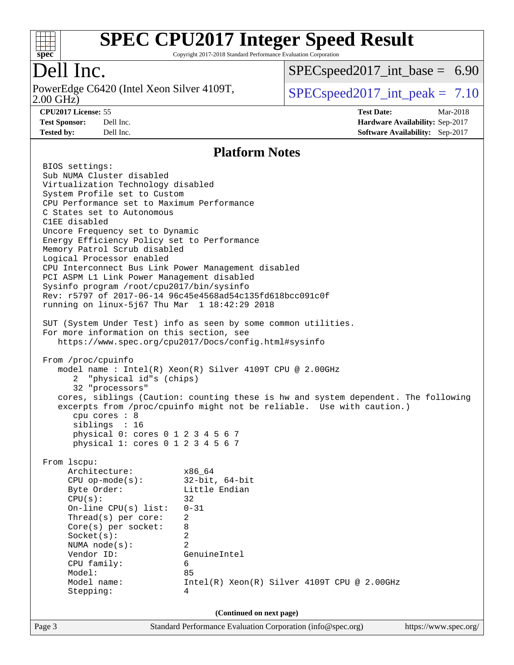

Copyright 2017-2018 Standard Performance Evaluation Corporation

## Dell Inc.

2.00 GHz) PowerEdge C6420 (Intel Xeon Silver 4109T,  $\vert$  [SPECspeed2017\\_int\\_peak =](http://www.spec.org/auto/cpu2017/Docs/result-fields.html#SPECspeed2017intpeak) 7.10

 $SPECspeed2017\_int\_base = 6.90$ 

**[CPU2017 License:](http://www.spec.org/auto/cpu2017/Docs/result-fields.html#CPU2017License)** 55 **[Test Date:](http://www.spec.org/auto/cpu2017/Docs/result-fields.html#TestDate)** Mar-2018 **[Test Sponsor:](http://www.spec.org/auto/cpu2017/Docs/result-fields.html#TestSponsor)** Dell Inc. **[Hardware Availability:](http://www.spec.org/auto/cpu2017/Docs/result-fields.html#HardwareAvailability)** Sep-2017 **[Tested by:](http://www.spec.org/auto/cpu2017/Docs/result-fields.html#Testedby)** Dell Inc. **[Software Availability:](http://www.spec.org/auto/cpu2017/Docs/result-fields.html#SoftwareAvailability)** Sep-2017

#### **[Platform Notes](http://www.spec.org/auto/cpu2017/Docs/result-fields.html#PlatformNotes)**

Page 3 Standard Performance Evaluation Corporation [\(info@spec.org\)](mailto:info@spec.org) <https://www.spec.org/> BIOS settings: Sub NUMA Cluster disabled Virtualization Technology disabled System Profile set to Custom CPU Performance set to Maximum Performance C States set to Autonomous C1EE disabled Uncore Frequency set to Dynamic Energy Efficiency Policy set to Performance Memory Patrol Scrub disabled Logical Processor enabled CPU Interconnect Bus Link Power Management disabled PCI ASPM L1 Link Power Management disabled Sysinfo program /root/cpu2017/bin/sysinfo Rev: r5797 of 2017-06-14 96c45e4568ad54c135fd618bcc091c0f running on linux-5j67 Thu Mar 1 18:42:29 2018 SUT (System Under Test) info as seen by some common utilities. For more information on this section, see <https://www.spec.org/cpu2017/Docs/config.html#sysinfo> From /proc/cpuinfo model name : Intel(R) Xeon(R) Silver 4109T CPU @ 2.00GHz 2 "physical id"s (chips) 32 "processors" cores, siblings (Caution: counting these is hw and system dependent. The following excerpts from /proc/cpuinfo might not be reliable. Use with caution.) cpu cores : 8 siblings : 16 physical 0: cores 0 1 2 3 4 5 6 7 physical 1: cores 0 1 2 3 4 5 6 7 From lscpu: Architecture: x86\_64 CPU op-mode(s): 32-bit, 64-bit Byte Order: Little Endian  $CPU(s):$  32 On-line CPU(s) list: 0-31 Thread(s) per core: 2 Core(s) per socket: 8 Socket(s): 2 NUMA node(s): 2 Vendor ID: GenuineIntel CPU family: 6 Model: 85 Model name: Intel(R) Xeon(R) Silver 4109T CPU @ 2.00GHz Stepping: 4 **(Continued on next page)**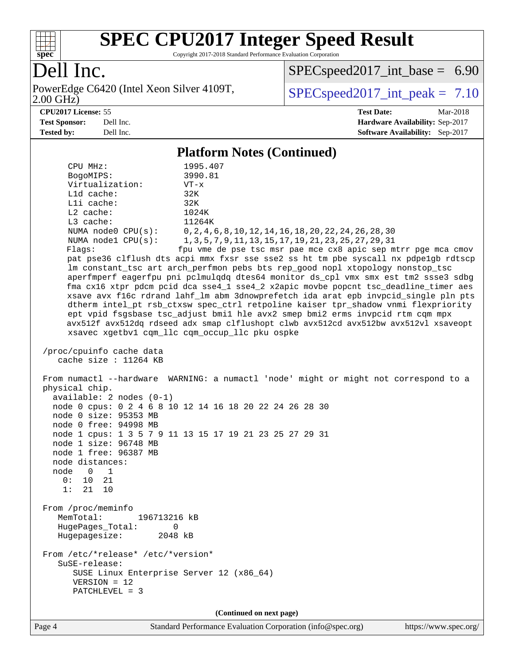

Copyright 2017-2018 Standard Performance Evaluation Corporation

## Dell Inc.

PowerEdge C6420 (Intel Xeon Silver 4109T, 2.00 GHz)

[SPECspeed2017\\_int\\_base =](http://www.spec.org/auto/cpu2017/Docs/result-fields.html#SPECspeed2017intbase) 6.90

 $SPECspeed2017\_int\_peak = 7.10$ 

**[CPU2017 License:](http://www.spec.org/auto/cpu2017/Docs/result-fields.html#CPU2017License)** 55 **[Test Date:](http://www.spec.org/auto/cpu2017/Docs/result-fields.html#TestDate)** Mar-2018 **[Test Sponsor:](http://www.spec.org/auto/cpu2017/Docs/result-fields.html#TestSponsor)** Dell Inc. **[Hardware Availability:](http://www.spec.org/auto/cpu2017/Docs/result-fields.html#HardwareAvailability)** Sep-2017 **[Tested by:](http://www.spec.org/auto/cpu2017/Docs/result-fields.html#Testedby)** Dell Inc. **[Software Availability:](http://www.spec.org/auto/cpu2017/Docs/result-fields.html#SoftwareAvailability)** Sep-2017

#### **[Platform Notes \(Continued\)](http://www.spec.org/auto/cpu2017/Docs/result-fields.html#PlatformNotes)**

| CPU MHz:<br>BogoMIPS:<br>Virtualization:<br>L1d cache:<br>Lli cache:<br>L2 cache:<br>L3 cache:<br>NUMA nodel CPU(s):<br>Flags:                                                                             | 1995.407<br>3990.81<br>$VT - x$<br>32K<br>32K<br>1024K<br>11264K<br>NUMA node0 CPU(s): 0, 2, 4, 6, 8, 10, 12, 14, 16, 18, 20, 22, 24, 26, 28, 30<br>1, 3, 5, 7, 9, 11, 13, 15, 17, 19, 21, 23, 25, 27, 29, 31<br>fpu vme de pse tsc msr pae mce cx8 apic sep mtrr pge mca cmov<br>pat pse36 clflush dts acpi mmx fxsr sse sse2 ss ht tm pbe syscall nx pdpelgb rdtscp<br>lm constant_tsc art arch_perfmon pebs bts rep_good nopl xtopology nonstop_tsc<br>aperfmperf eagerfpu pni pclmulqdq dtes64 monitor ds_cpl vmx smx est tm2 ssse3 sdbg<br>fma cx16 xtpr pdcm pcid dca sse4_1 sse4_2 x2apic movbe popcnt tsc_deadline_timer aes<br>xsave avx f16c rdrand lahf_lm abm 3dnowprefetch ida arat epb invpcid_single pln pts<br>dtherm intel_pt rsb_ctxsw spec_ctrl retpoline kaiser tpr_shadow vnmi flexpriority<br>ept vpid fsgsbase tsc_adjust bmil hle avx2 smep bmi2 erms invpcid rtm cqm mpx<br>avx512f avx512dq rdseed adx smap clflushopt clwb avx512cd avx512bw avx512vl xsaveopt |  |  |  |
|------------------------------------------------------------------------------------------------------------------------------------------------------------------------------------------------------------|-------------------------------------------------------------------------------------------------------------------------------------------------------------------------------------------------------------------------------------------------------------------------------------------------------------------------------------------------------------------------------------------------------------------------------------------------------------------------------------------------------------------------------------------------------------------------------------------------------------------------------------------------------------------------------------------------------------------------------------------------------------------------------------------------------------------------------------------------------------------------------------------------------------------------------------------------------------------------------------------|--|--|--|
|                                                                                                                                                                                                            | xsavec xgetbv1 cqm_llc cqm_occup_llc pku ospke                                                                                                                                                                                                                                                                                                                                                                                                                                                                                                                                                                                                                                                                                                                                                                                                                                                                                                                                            |  |  |  |
| /proc/cpuinfo cache data<br>cache size : 11264 KB                                                                                                                                                          |                                                                                                                                                                                                                                                                                                                                                                                                                                                                                                                                                                                                                                                                                                                                                                                                                                                                                                                                                                                           |  |  |  |
| physical chip.<br>$available: 2 nodes (0-1)$<br>node 0 size: 95353 MB<br>node 0 free: 94998 MB<br>node 1 size: 96748 MB<br>node 1 free: 96387 MB<br>node distances:<br>node 0 1<br>0: 10 21<br>1:<br>21 10 | From numactl --hardware WARNING: a numactl 'node' might or might not correspond to a<br>node 0 cpus: 0 2 4 6 8 10 12 14 16 18 20 22 24 26 28 30<br>node 1 cpus: 1 3 5 7 9 11 13 15 17 19 21 23 25 27 29 31                                                                                                                                                                                                                                                                                                                                                                                                                                                                                                                                                                                                                                                                                                                                                                                |  |  |  |
| From /proc/meminfo<br>MemTotal:<br>196713216 kB<br>HugePages_Total:<br>0<br>Hugepagesize: 2048 kB                                                                                                          |                                                                                                                                                                                                                                                                                                                                                                                                                                                                                                                                                                                                                                                                                                                                                                                                                                                                                                                                                                                           |  |  |  |
| From /etc/*release* /etc/*version*<br>SuSE-release:<br>SUSE Linux Enterprise Server 12 (x86_64)<br>$VERSION = 12$<br>PATCHLEVEL = 3                                                                        |                                                                                                                                                                                                                                                                                                                                                                                                                                                                                                                                                                                                                                                                                                                                                                                                                                                                                                                                                                                           |  |  |  |
| (Continued on next page)                                                                                                                                                                                   |                                                                                                                                                                                                                                                                                                                                                                                                                                                                                                                                                                                                                                                                                                                                                                                                                                                                                                                                                                                           |  |  |  |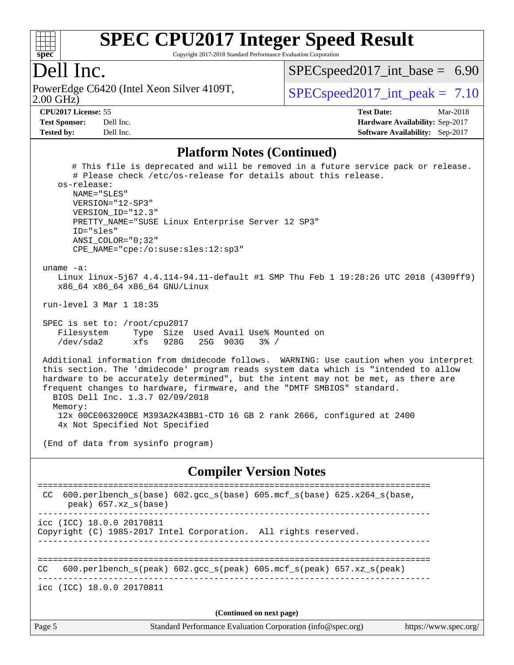

Copyright 2017-2018 Standard Performance Evaluation Corporation

#### Dell Inc.

2.00 GHz) PowerEdge C6420 (Intel Xeon Silver 4109T,  $\vert$  [SPECspeed2017\\_int\\_peak =](http://www.spec.org/auto/cpu2017/Docs/result-fields.html#SPECspeed2017intpeak) 7.10

 $SPECspeed2017\_int\_base = 6.90$ 

**[CPU2017 License:](http://www.spec.org/auto/cpu2017/Docs/result-fields.html#CPU2017License)** 55 **[Test Date:](http://www.spec.org/auto/cpu2017/Docs/result-fields.html#TestDate)** Mar-2018 **[Test Sponsor:](http://www.spec.org/auto/cpu2017/Docs/result-fields.html#TestSponsor)** Dell Inc. **[Hardware Availability:](http://www.spec.org/auto/cpu2017/Docs/result-fields.html#HardwareAvailability)** Sep-2017 **[Tested by:](http://www.spec.org/auto/cpu2017/Docs/result-fields.html#Testedby)** Dell Inc. **[Software Availability:](http://www.spec.org/auto/cpu2017/Docs/result-fields.html#SoftwareAvailability)** Sep-2017

#### **[Platform Notes \(Continued\)](http://www.spec.org/auto/cpu2017/Docs/result-fields.html#PlatformNotes)**

 # This file is deprecated and will be removed in a future service pack or release. # Please check /etc/os-release for details about this release. os-release: NAME="SLES" VERSION="12-SP3" VERSION\_ID="12.3" PRETTY\_NAME="SUSE Linux Enterprise Server 12 SP3" ID="sles" ANSI\_COLOR="0;32" CPE\_NAME="cpe:/o:suse:sles:12:sp3" uname -a: Linux linux-5j67 4.4.114-94.11-default #1 SMP Thu Feb 1 19:28:26 UTC 2018 (4309ff9) x86\_64 x86\_64 x86\_64 GNU/Linux run-level 3 Mar 1 18:35 SPEC is set to: /root/cpu2017 Filesystem Type Size Used Avail Use% Mounted on /dev/sda2 xfs 928G 25G 903G 3% / Additional information from dmidecode follows. WARNING: Use caution when you interpret this section. The 'dmidecode' program reads system data which is "intended to allow hardware to be accurately determined", but the intent may not be met, as there are frequent changes to hardware, firmware, and the "DMTF SMBIOS" standard. BIOS Dell Inc. 1.3.7 02/09/2018 Memory: 12x 00CE063200CE M393A2K43BB1-CTD 16 GB 2 rank 2666, configured at 2400 4x Not Specified Not Specified (End of data from sysinfo program) **[Compiler Version Notes](http://www.spec.org/auto/cpu2017/Docs/result-fields.html#CompilerVersionNotes)** ============================================================================== CC 600.perlbench\_s(base) 602.gcc\_s(base) 605.mcf\_s(base) 625.x264\_s(base, peak) 657.xz\_s(base) ----------------------------------------------------------------------------- icc (ICC) 18.0.0 20170811 Copyright (C) 1985-2017 Intel Corporation. All rights reserved. ------------------------------------------------------------------------------ ============================================================================== CC 600.perlbench\_s(peak) 602.gcc\_s(peak) 605.mcf\_s(peak) 657.xz\_s(peak) ----------------------------------------------------------------------------- icc (ICC) 18.0.0 20170811 **(Continued on next page)**

Page 5 Standard Performance Evaluation Corporation [\(info@spec.org\)](mailto:info@spec.org) <https://www.spec.org/>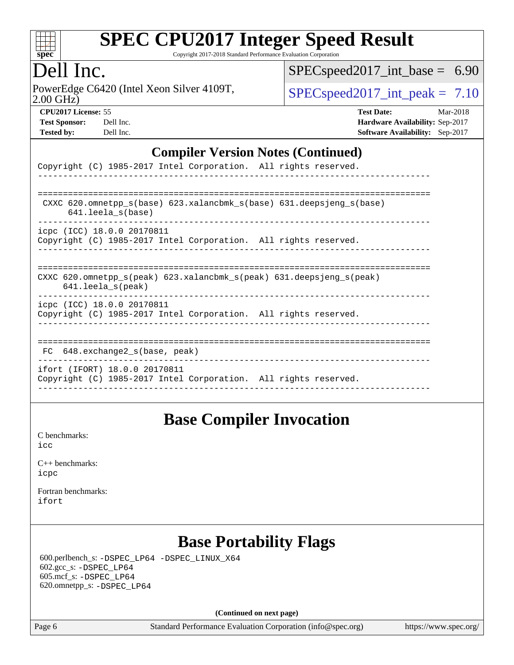

Copyright 2017-2018 Standard Performance Evaluation Corporation

### Dell Inc.

2.00 GHz) PowerEdge C6420 (Intel Xeon Silver 4109T,  $\text{SPEC speed2017\_int\_peak} = 7.10$ 

[SPECspeed2017\\_int\\_base =](http://www.spec.org/auto/cpu2017/Docs/result-fields.html#SPECspeed2017intbase) 6.90

| <b>Test Sponsor:</b> | Dell Inc |
|----------------------|----------|
| <b>Tested by:</b>    | Dell Inc |

**[CPU2017 License:](http://www.spec.org/auto/cpu2017/Docs/result-fields.html#CPU2017License)** 55 **[Test Date:](http://www.spec.org/auto/cpu2017/Docs/result-fields.html#TestDate)** Mar-2018 **[Hardware Availability:](http://www.spec.org/auto/cpu2017/Docs/result-fields.html#HardwareAvailability)** Sep-2017 **[Software Availability:](http://www.spec.org/auto/cpu2017/Docs/result-fields.html#SoftwareAvailability)** Sep-2017

#### **[Compiler Version Notes \(Continued\)](http://www.spec.org/auto/cpu2017/Docs/result-fields.html#CompilerVersionNotes)**

| Copyright (C) 1985-2017 Intel Corporation. All rights reserved.                                                            |
|----------------------------------------------------------------------------------------------------------------------------|
|                                                                                                                            |
| CXXC 620.omnetpp $s(base)$ 623.xalancbmk $s(base)$ 631.deepsjeng $s(base)$<br>$641.$ leela $s$ (base)                      |
| icpc (ICC) 18.0.0 20170811<br>Copyright (C) 1985-2017 Intel Corporation. All rights reserved.                              |
| CXXC 620.omnetpp $s(\text{peak})$ 623.xalancbmk $s(\text{peak})$ 631.deepsjeng $s(\text{peak})$<br>$641.$ leela $s$ (peak) |
| icpc (ICC) 18.0.0 20170811<br>Copyright (C) 1985-2017 Intel Corporation. All rights reserved.                              |
| 648.exchange2 s(base, peak)<br>FC.                                                                                         |
| ifort (IFORT) 18.0.0 20170811<br>Copyright (C) 1985-2017 Intel Corporation. All rights reserved.                           |

#### **[Base Compiler Invocation](http://www.spec.org/auto/cpu2017/Docs/result-fields.html#BaseCompilerInvocation)**

[C benchmarks](http://www.spec.org/auto/cpu2017/Docs/result-fields.html#Cbenchmarks): [icc](http://www.spec.org/cpu2017/results/res2018q1/cpu2017-20180305-03806.flags.html#user_CCbase_intel_icc_18.0_66fc1ee009f7361af1fbd72ca7dcefbb700085f36577c54f309893dd4ec40d12360134090235512931783d35fd58c0460139e722d5067c5574d8eaf2b3e37e92)

| $C_{++}$ benchmarks: |
|----------------------|
| icpc                 |

[Fortran benchmarks](http://www.spec.org/auto/cpu2017/Docs/result-fields.html#Fortranbenchmarks): [ifort](http://www.spec.org/cpu2017/results/res2018q1/cpu2017-20180305-03806.flags.html#user_FCbase_intel_ifort_18.0_8111460550e3ca792625aed983ce982f94888b8b503583aa7ba2b8303487b4d8a21a13e7191a45c5fd58ff318f48f9492884d4413fa793fd88dd292cad7027ca)

## **[Base Portability Flags](http://www.spec.org/auto/cpu2017/Docs/result-fields.html#BasePortabilityFlags)**

 600.perlbench\_s: [-DSPEC\\_LP64](http://www.spec.org/cpu2017/results/res2018q1/cpu2017-20180305-03806.flags.html#b600.perlbench_s_basePORTABILITY_DSPEC_LP64) [-DSPEC\\_LINUX\\_X64](http://www.spec.org/cpu2017/results/res2018q1/cpu2017-20180305-03806.flags.html#b600.perlbench_s_baseCPORTABILITY_DSPEC_LINUX_X64) 602.gcc\_s: [-DSPEC\\_LP64](http://www.spec.org/cpu2017/results/res2018q1/cpu2017-20180305-03806.flags.html#suite_basePORTABILITY602_gcc_s_DSPEC_LP64) 605.mcf\_s: [-DSPEC\\_LP64](http://www.spec.org/cpu2017/results/res2018q1/cpu2017-20180305-03806.flags.html#suite_basePORTABILITY605_mcf_s_DSPEC_LP64) 620.omnetpp\_s: [-DSPEC\\_LP64](http://www.spec.org/cpu2017/results/res2018q1/cpu2017-20180305-03806.flags.html#suite_basePORTABILITY620_omnetpp_s_DSPEC_LP64)

**(Continued on next page)**

Page 6 Standard Performance Evaluation Corporation [\(info@spec.org\)](mailto:info@spec.org) <https://www.spec.org/>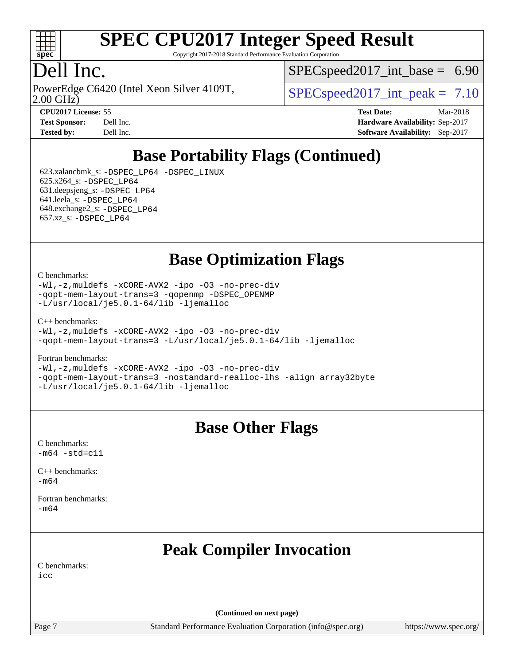

Copyright 2017-2018 Standard Performance Evaluation Corporation

### ell Inc.

2.00 GHz) PowerEdge C6420 (Intel Xeon Silver 4109T,  $\vert$  [SPECspeed2017\\_int\\_peak =](http://www.spec.org/auto/cpu2017/Docs/result-fields.html#SPECspeed2017intpeak) 7.10

 $SPECspeed2017\_int\_base = 6.90$ 

| <b>Test Sponsor:</b> | Dell Ir |
|----------------------|---------|
| Tested by:           | Dell Ir |

**[CPU2017 License:](http://www.spec.org/auto/cpu2017/Docs/result-fields.html#CPU2017License)** 55 **[Test Date:](http://www.spec.org/auto/cpu2017/Docs/result-fields.html#TestDate)** Mar-2018 **[Test Sponsor:](http://www.spec.org/auto/cpu2017/Docs/result-fields.html#TestSponsor) [Hardware Availability:](http://www.spec.org/auto/cpu2017/Docs/result-fields.html#HardwareAvailability)** Sep-2017 **[Tested by:](http://www.spec.org/auto/cpu2017/Docs/result-fields.html#Testedby) [Software Availability:](http://www.spec.org/auto/cpu2017/Docs/result-fields.html#SoftwareAvailability)** Sep-2017

## **[Base Portability Flags \(Continued\)](http://www.spec.org/auto/cpu2017/Docs/result-fields.html#BasePortabilityFlags)**

 623.xalancbmk\_s: [-DSPEC\\_LP64](http://www.spec.org/cpu2017/results/res2018q1/cpu2017-20180305-03806.flags.html#suite_basePORTABILITY623_xalancbmk_s_DSPEC_LP64) [-DSPEC\\_LINUX](http://www.spec.org/cpu2017/results/res2018q1/cpu2017-20180305-03806.flags.html#b623.xalancbmk_s_baseCXXPORTABILITY_DSPEC_LINUX) 625.x264\_s: [-DSPEC\\_LP64](http://www.spec.org/cpu2017/results/res2018q1/cpu2017-20180305-03806.flags.html#suite_basePORTABILITY625_x264_s_DSPEC_LP64) 631.deepsjeng\_s: [-DSPEC\\_LP64](http://www.spec.org/cpu2017/results/res2018q1/cpu2017-20180305-03806.flags.html#suite_basePORTABILITY631_deepsjeng_s_DSPEC_LP64) 641.leela\_s: [-DSPEC\\_LP64](http://www.spec.org/cpu2017/results/res2018q1/cpu2017-20180305-03806.flags.html#suite_basePORTABILITY641_leela_s_DSPEC_LP64) 648.exchange2\_s: [-DSPEC\\_LP64](http://www.spec.org/cpu2017/results/res2018q1/cpu2017-20180305-03806.flags.html#suite_basePORTABILITY648_exchange2_s_DSPEC_LP64) 657.xz\_s: [-DSPEC\\_LP64](http://www.spec.org/cpu2017/results/res2018q1/cpu2017-20180305-03806.flags.html#suite_basePORTABILITY657_xz_s_DSPEC_LP64)

**[Base Optimization Flags](http://www.spec.org/auto/cpu2017/Docs/result-fields.html#BaseOptimizationFlags)**

#### [C benchmarks](http://www.spec.org/auto/cpu2017/Docs/result-fields.html#Cbenchmarks):

[-Wl,-z,muldefs](http://www.spec.org/cpu2017/results/res2018q1/cpu2017-20180305-03806.flags.html#user_CCbase_link_force_multiple1_b4cbdb97b34bdee9ceefcfe54f4c8ea74255f0b02a4b23e853cdb0e18eb4525ac79b5a88067c842dd0ee6996c24547a27a4b99331201badda8798ef8a743f577) [-xCORE-AVX2](http://www.spec.org/cpu2017/results/res2018q1/cpu2017-20180305-03806.flags.html#user_CCbase_f-xCORE-AVX2) [-ipo](http://www.spec.org/cpu2017/results/res2018q1/cpu2017-20180305-03806.flags.html#user_CCbase_f-ipo) [-O3](http://www.spec.org/cpu2017/results/res2018q1/cpu2017-20180305-03806.flags.html#user_CCbase_f-O3) [-no-prec-div](http://www.spec.org/cpu2017/results/res2018q1/cpu2017-20180305-03806.flags.html#user_CCbase_f-no-prec-div) [-qopt-mem-layout-trans=3](http://www.spec.org/cpu2017/results/res2018q1/cpu2017-20180305-03806.flags.html#user_CCbase_f-qopt-mem-layout-trans_de80db37974c74b1f0e20d883f0b675c88c3b01e9d123adea9b28688d64333345fb62bc4a798493513fdb68f60282f9a726aa07f478b2f7113531aecce732043) [-qopenmp](http://www.spec.org/cpu2017/results/res2018q1/cpu2017-20180305-03806.flags.html#user_CCbase_qopenmp_16be0c44f24f464004c6784a7acb94aca937f053568ce72f94b139a11c7c168634a55f6653758ddd83bcf7b8463e8028bb0b48b77bcddc6b78d5d95bb1df2967) [-DSPEC\\_OPENMP](http://www.spec.org/cpu2017/results/res2018q1/cpu2017-20180305-03806.flags.html#suite_CCbase_DSPEC_OPENMP) [-L/usr/local/je5.0.1-64/lib](http://www.spec.org/cpu2017/results/res2018q1/cpu2017-20180305-03806.flags.html#user_CCbase_jemalloc_link_path64_4b10a636b7bce113509b17f3bd0d6226c5fb2346b9178c2d0232c14f04ab830f976640479e5c33dc2bcbbdad86ecfb6634cbbd4418746f06f368b512fced5394) [-ljemalloc](http://www.spec.org/cpu2017/results/res2018q1/cpu2017-20180305-03806.flags.html#user_CCbase_jemalloc_link_lib_d1249b907c500fa1c0672f44f562e3d0f79738ae9e3c4a9c376d49f265a04b9c99b167ecedbf6711b3085be911c67ff61f150a17b3472be731631ba4d0471706)

[C++ benchmarks:](http://www.spec.org/auto/cpu2017/Docs/result-fields.html#CXXbenchmarks)

```
-Wl,-z,muldefs -xCORE-AVX2 -ipo -O3 -no-prec-div
-qopt-mem-layout-trans=3 -L/usr/local/je5.0.1-64/lib -ljemalloc
```
[Fortran benchmarks](http://www.spec.org/auto/cpu2017/Docs/result-fields.html#Fortranbenchmarks):

[-Wl,-z,muldefs](http://www.spec.org/cpu2017/results/res2018q1/cpu2017-20180305-03806.flags.html#user_FCbase_link_force_multiple1_b4cbdb97b34bdee9ceefcfe54f4c8ea74255f0b02a4b23e853cdb0e18eb4525ac79b5a88067c842dd0ee6996c24547a27a4b99331201badda8798ef8a743f577) [-xCORE-AVX2](http://www.spec.org/cpu2017/results/res2018q1/cpu2017-20180305-03806.flags.html#user_FCbase_f-xCORE-AVX2) [-ipo](http://www.spec.org/cpu2017/results/res2018q1/cpu2017-20180305-03806.flags.html#user_FCbase_f-ipo) [-O3](http://www.spec.org/cpu2017/results/res2018q1/cpu2017-20180305-03806.flags.html#user_FCbase_f-O3) [-no-prec-div](http://www.spec.org/cpu2017/results/res2018q1/cpu2017-20180305-03806.flags.html#user_FCbase_f-no-prec-div) [-qopt-mem-layout-trans=3](http://www.spec.org/cpu2017/results/res2018q1/cpu2017-20180305-03806.flags.html#user_FCbase_f-qopt-mem-layout-trans_de80db37974c74b1f0e20d883f0b675c88c3b01e9d123adea9b28688d64333345fb62bc4a798493513fdb68f60282f9a726aa07f478b2f7113531aecce732043) [-nostandard-realloc-lhs](http://www.spec.org/cpu2017/results/res2018q1/cpu2017-20180305-03806.flags.html#user_FCbase_f_2003_std_realloc_82b4557e90729c0f113870c07e44d33d6f5a304b4f63d4c15d2d0f1fab99f5daaed73bdb9275d9ae411527f28b936061aa8b9c8f2d63842963b95c9dd6426b8a) [-align array32byte](http://www.spec.org/cpu2017/results/res2018q1/cpu2017-20180305-03806.flags.html#user_FCbase_align_array32byte_b982fe038af199962ba9a80c053b8342c548c85b40b8e86eb3cc33dee0d7986a4af373ac2d51c3f7cf710a18d62fdce2948f201cd044323541f22fc0fffc51b6) [-L/usr/local/je5.0.1-64/lib](http://www.spec.org/cpu2017/results/res2018q1/cpu2017-20180305-03806.flags.html#user_FCbase_jemalloc_link_path64_4b10a636b7bce113509b17f3bd0d6226c5fb2346b9178c2d0232c14f04ab830f976640479e5c33dc2bcbbdad86ecfb6634cbbd4418746f06f368b512fced5394) [-ljemalloc](http://www.spec.org/cpu2017/results/res2018q1/cpu2017-20180305-03806.flags.html#user_FCbase_jemalloc_link_lib_d1249b907c500fa1c0672f44f562e3d0f79738ae9e3c4a9c376d49f265a04b9c99b167ecedbf6711b3085be911c67ff61f150a17b3472be731631ba4d0471706)

#### **[Base Other Flags](http://www.spec.org/auto/cpu2017/Docs/result-fields.html#BaseOtherFlags)**

[C benchmarks](http://www.spec.org/auto/cpu2017/Docs/result-fields.html#Cbenchmarks):  $-m64 - std = c11$  $-m64 - std = c11$ 

[C++ benchmarks:](http://www.spec.org/auto/cpu2017/Docs/result-fields.html#CXXbenchmarks) [-m64](http://www.spec.org/cpu2017/results/res2018q1/cpu2017-20180305-03806.flags.html#user_CXXbase_intel_intel64_18.0_af43caccfc8ded86e7699f2159af6efc7655f51387b94da716254467f3c01020a5059329e2569e4053f409e7c9202a7efc638f7a6d1ffb3f52dea4a3e31d82ab)

[Fortran benchmarks](http://www.spec.org/auto/cpu2017/Docs/result-fields.html#Fortranbenchmarks): [-m64](http://www.spec.org/cpu2017/results/res2018q1/cpu2017-20180305-03806.flags.html#user_FCbase_intel_intel64_18.0_af43caccfc8ded86e7699f2159af6efc7655f51387b94da716254467f3c01020a5059329e2569e4053f409e7c9202a7efc638f7a6d1ffb3f52dea4a3e31d82ab)

## **[Peak Compiler Invocation](http://www.spec.org/auto/cpu2017/Docs/result-fields.html#PeakCompilerInvocation)**

[C benchmarks](http://www.spec.org/auto/cpu2017/Docs/result-fields.html#Cbenchmarks): [icc](http://www.spec.org/cpu2017/results/res2018q1/cpu2017-20180305-03806.flags.html#user_CCpeak_intel_icc_18.0_66fc1ee009f7361af1fbd72ca7dcefbb700085f36577c54f309893dd4ec40d12360134090235512931783d35fd58c0460139e722d5067c5574d8eaf2b3e37e92)

**(Continued on next page)**

Page 7 Standard Performance Evaluation Corporation [\(info@spec.org\)](mailto:info@spec.org) <https://www.spec.org/>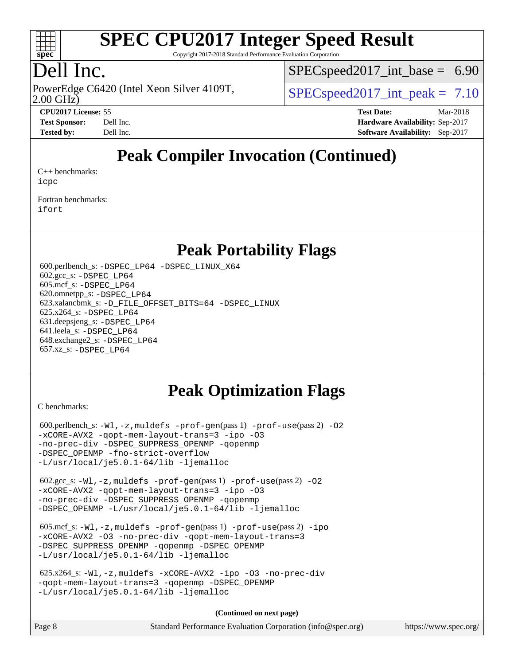

Copyright 2017-2018 Standard Performance Evaluation Corporation

## Dell Inc.

2.00 GHz) PowerEdge C6420 (Intel Xeon Silver 4109T,  $\vert$  [SPECspeed2017\\_int\\_peak =](http://www.spec.org/auto/cpu2017/Docs/result-fields.html#SPECspeed2017intpeak) 7.10

 $SPECspeed2017\_int\_base = 6.90$ 

**[CPU2017 License:](http://www.spec.org/auto/cpu2017/Docs/result-fields.html#CPU2017License)** 55 **[Test Date:](http://www.spec.org/auto/cpu2017/Docs/result-fields.html#TestDate)** Mar-2018 **[Test Sponsor:](http://www.spec.org/auto/cpu2017/Docs/result-fields.html#TestSponsor)** Dell Inc. **[Hardware Availability:](http://www.spec.org/auto/cpu2017/Docs/result-fields.html#HardwareAvailability)** Sep-2017 **[Tested by:](http://www.spec.org/auto/cpu2017/Docs/result-fields.html#Testedby)** Dell Inc. **[Software Availability:](http://www.spec.org/auto/cpu2017/Docs/result-fields.html#SoftwareAvailability)** Sep-2017

## **[Peak Compiler Invocation \(Continued\)](http://www.spec.org/auto/cpu2017/Docs/result-fields.html#PeakCompilerInvocation)**

[C++ benchmarks:](http://www.spec.org/auto/cpu2017/Docs/result-fields.html#CXXbenchmarks) [icpc](http://www.spec.org/cpu2017/results/res2018q1/cpu2017-20180305-03806.flags.html#user_CXXpeak_intel_icpc_18.0_c510b6838c7f56d33e37e94d029a35b4a7bccf4766a728ee175e80a419847e808290a9b78be685c44ab727ea267ec2f070ec5dc83b407c0218cded6866a35d07)

[Fortran benchmarks](http://www.spec.org/auto/cpu2017/Docs/result-fields.html#Fortranbenchmarks): [ifort](http://www.spec.org/cpu2017/results/res2018q1/cpu2017-20180305-03806.flags.html#user_FCpeak_intel_ifort_18.0_8111460550e3ca792625aed983ce982f94888b8b503583aa7ba2b8303487b4d8a21a13e7191a45c5fd58ff318f48f9492884d4413fa793fd88dd292cad7027ca)

#### **[Peak Portability Flags](http://www.spec.org/auto/cpu2017/Docs/result-fields.html#PeakPortabilityFlags)**

 600.perlbench\_s: [-DSPEC\\_LP64](http://www.spec.org/cpu2017/results/res2018q1/cpu2017-20180305-03806.flags.html#b600.perlbench_s_peakPORTABILITY_DSPEC_LP64) [-DSPEC\\_LINUX\\_X64](http://www.spec.org/cpu2017/results/res2018q1/cpu2017-20180305-03806.flags.html#b600.perlbench_s_peakCPORTABILITY_DSPEC_LINUX_X64) 602.gcc\_s: [-DSPEC\\_LP64](http://www.spec.org/cpu2017/results/res2018q1/cpu2017-20180305-03806.flags.html#suite_peakPORTABILITY602_gcc_s_DSPEC_LP64) 605.mcf\_s: [-DSPEC\\_LP64](http://www.spec.org/cpu2017/results/res2018q1/cpu2017-20180305-03806.flags.html#suite_peakPORTABILITY605_mcf_s_DSPEC_LP64) 620.omnetpp\_s: [-DSPEC\\_LP64](http://www.spec.org/cpu2017/results/res2018q1/cpu2017-20180305-03806.flags.html#suite_peakPORTABILITY620_omnetpp_s_DSPEC_LP64) 623.xalancbmk\_s: [-D\\_FILE\\_OFFSET\\_BITS=64](http://www.spec.org/cpu2017/results/res2018q1/cpu2017-20180305-03806.flags.html#user_peakPORTABILITY623_xalancbmk_s_file_offset_bits_64_5ae949a99b284ddf4e95728d47cb0843d81b2eb0e18bdfe74bbf0f61d0b064f4bda2f10ea5eb90e1dcab0e84dbc592acfc5018bc955c18609f94ddb8d550002c) [-DSPEC\\_LINUX](http://www.spec.org/cpu2017/results/res2018q1/cpu2017-20180305-03806.flags.html#b623.xalancbmk_s_peakCXXPORTABILITY_DSPEC_LINUX) 625.x264\_s: [-DSPEC\\_LP64](http://www.spec.org/cpu2017/results/res2018q1/cpu2017-20180305-03806.flags.html#suite_peakPORTABILITY625_x264_s_DSPEC_LP64) 631.deepsjeng\_s: [-DSPEC\\_LP64](http://www.spec.org/cpu2017/results/res2018q1/cpu2017-20180305-03806.flags.html#suite_peakPORTABILITY631_deepsjeng_s_DSPEC_LP64) 641.leela\_s: [-DSPEC\\_LP64](http://www.spec.org/cpu2017/results/res2018q1/cpu2017-20180305-03806.flags.html#suite_peakPORTABILITY641_leela_s_DSPEC_LP64) 648.exchange2\_s: [-DSPEC\\_LP64](http://www.spec.org/cpu2017/results/res2018q1/cpu2017-20180305-03806.flags.html#suite_peakPORTABILITY648_exchange2_s_DSPEC_LP64) 657.xz\_s: [-DSPEC\\_LP64](http://www.spec.org/cpu2017/results/res2018q1/cpu2017-20180305-03806.flags.html#suite_peakPORTABILITY657_xz_s_DSPEC_LP64)

#### **[Peak Optimization Flags](http://www.spec.org/auto/cpu2017/Docs/result-fields.html#PeakOptimizationFlags)**

[C benchmarks](http://www.spec.org/auto/cpu2017/Docs/result-fields.html#Cbenchmarks):

600.perlbench\_s:  $-W1$ ,  $-z$ , muldefs  $-prof$  -qen(pass 1)  $-prof$  -use(pass 2) -02 [-xCORE-AVX2](http://www.spec.org/cpu2017/results/res2018q1/cpu2017-20180305-03806.flags.html#user_peakPASS2_COPTIMIZE600_perlbench_s_f-xCORE-AVX2) [-qopt-mem-layout-trans=3](http://www.spec.org/cpu2017/results/res2018q1/cpu2017-20180305-03806.flags.html#user_peakPASS1_COPTIMIZEPASS2_COPTIMIZE600_perlbench_s_f-qopt-mem-layout-trans_de80db37974c74b1f0e20d883f0b675c88c3b01e9d123adea9b28688d64333345fb62bc4a798493513fdb68f60282f9a726aa07f478b2f7113531aecce732043) [-ipo](http://www.spec.org/cpu2017/results/res2018q1/cpu2017-20180305-03806.flags.html#user_peakPASS2_COPTIMIZE600_perlbench_s_f-ipo) [-O3](http://www.spec.org/cpu2017/results/res2018q1/cpu2017-20180305-03806.flags.html#user_peakPASS2_COPTIMIZE600_perlbench_s_f-O3) [-no-prec-div](http://www.spec.org/cpu2017/results/res2018q1/cpu2017-20180305-03806.flags.html#user_peakPASS2_COPTIMIZE600_perlbench_s_f-no-prec-div) [-DSPEC\\_SUPPRESS\\_OPENMP](http://www.spec.org/cpu2017/results/res2018q1/cpu2017-20180305-03806.flags.html#suite_peakPASS1_COPTIMIZE600_perlbench_s_DSPEC_SUPPRESS_OPENMP) [-qopenmp](http://www.spec.org/cpu2017/results/res2018q1/cpu2017-20180305-03806.flags.html#user_peakPASS2_COPTIMIZE600_perlbench_s_qopenmp_16be0c44f24f464004c6784a7acb94aca937f053568ce72f94b139a11c7c168634a55f6653758ddd83bcf7b8463e8028bb0b48b77bcddc6b78d5d95bb1df2967) [-DSPEC\\_OPENMP](http://www.spec.org/cpu2017/results/res2018q1/cpu2017-20180305-03806.flags.html#suite_peakPASS2_COPTIMIZE600_perlbench_s_DSPEC_OPENMP) [-fno-strict-overflow](http://www.spec.org/cpu2017/results/res2018q1/cpu2017-20180305-03806.flags.html#user_peakEXTRA_OPTIMIZE600_perlbench_s_f-fno-strict-overflow) [-L/usr/local/je5.0.1-64/lib](http://www.spec.org/cpu2017/results/res2018q1/cpu2017-20180305-03806.flags.html#user_peakEXTRA_LIBS600_perlbench_s_jemalloc_link_path64_4b10a636b7bce113509b17f3bd0d6226c5fb2346b9178c2d0232c14f04ab830f976640479e5c33dc2bcbbdad86ecfb6634cbbd4418746f06f368b512fced5394) [-ljemalloc](http://www.spec.org/cpu2017/results/res2018q1/cpu2017-20180305-03806.flags.html#user_peakEXTRA_LIBS600_perlbench_s_jemalloc_link_lib_d1249b907c500fa1c0672f44f562e3d0f79738ae9e3c4a9c376d49f265a04b9c99b167ecedbf6711b3085be911c67ff61f150a17b3472be731631ba4d0471706) 602.gcc\_s: [-Wl,-z,muldefs](http://www.spec.org/cpu2017/results/res2018q1/cpu2017-20180305-03806.flags.html#user_peakEXTRA_LDFLAGS602_gcc_s_link_force_multiple1_b4cbdb97b34bdee9ceefcfe54f4c8ea74255f0b02a4b23e853cdb0e18eb4525ac79b5a88067c842dd0ee6996c24547a27a4b99331201badda8798ef8a743f577) [-prof-gen](http://www.spec.org/cpu2017/results/res2018q1/cpu2017-20180305-03806.flags.html#user_peakPASS1_CFLAGSPASS1_LDFLAGS602_gcc_s_prof_gen_5aa4926d6013ddb2a31985c654b3eb18169fc0c6952a63635c234f711e6e63dd76e94ad52365559451ec499a2cdb89e4dc58ba4c67ef54ca681ffbe1461d6b36)(pass 1) [-prof-use](http://www.spec.org/cpu2017/results/res2018q1/cpu2017-20180305-03806.flags.html#user_peakPASS2_CFLAGSPASS2_LDFLAGS602_gcc_s_prof_use_1a21ceae95f36a2b53c25747139a6c16ca95bd9def2a207b4f0849963b97e94f5260e30a0c64f4bb623698870e679ca08317ef8150905d41bd88c6f78df73f19)(pass 2) [-O2](http://www.spec.org/cpu2017/results/res2018q1/cpu2017-20180305-03806.flags.html#user_peakPASS1_COPTIMIZE602_gcc_s_f-O2) [-xCORE-AVX2](http://www.spec.org/cpu2017/results/res2018q1/cpu2017-20180305-03806.flags.html#user_peakPASS2_COPTIMIZE602_gcc_s_f-xCORE-AVX2) [-qopt-mem-layout-trans=3](http://www.spec.org/cpu2017/results/res2018q1/cpu2017-20180305-03806.flags.html#user_peakPASS1_COPTIMIZEPASS2_COPTIMIZE602_gcc_s_f-qopt-mem-layout-trans_de80db37974c74b1f0e20d883f0b675c88c3b01e9d123adea9b28688d64333345fb62bc4a798493513fdb68f60282f9a726aa07f478b2f7113531aecce732043) [-ipo](http://www.spec.org/cpu2017/results/res2018q1/cpu2017-20180305-03806.flags.html#user_peakPASS2_COPTIMIZE602_gcc_s_f-ipo) [-O3](http://www.spec.org/cpu2017/results/res2018q1/cpu2017-20180305-03806.flags.html#user_peakPASS2_COPTIMIZE602_gcc_s_f-O3) [-no-prec-div](http://www.spec.org/cpu2017/results/res2018q1/cpu2017-20180305-03806.flags.html#user_peakPASS2_COPTIMIZE602_gcc_s_f-no-prec-div) [-DSPEC\\_SUPPRESS\\_OPENMP](http://www.spec.org/cpu2017/results/res2018q1/cpu2017-20180305-03806.flags.html#suite_peakPASS1_COPTIMIZE602_gcc_s_DSPEC_SUPPRESS_OPENMP) [-qopenmp](http://www.spec.org/cpu2017/results/res2018q1/cpu2017-20180305-03806.flags.html#user_peakPASS2_COPTIMIZE602_gcc_s_qopenmp_16be0c44f24f464004c6784a7acb94aca937f053568ce72f94b139a11c7c168634a55f6653758ddd83bcf7b8463e8028bb0b48b77bcddc6b78d5d95bb1df2967) [-DSPEC\\_OPENMP](http://www.spec.org/cpu2017/results/res2018q1/cpu2017-20180305-03806.flags.html#suite_peakPASS2_COPTIMIZE602_gcc_s_DSPEC_OPENMP) [-L/usr/local/je5.0.1-64/lib](http://www.spec.org/cpu2017/results/res2018q1/cpu2017-20180305-03806.flags.html#user_peakEXTRA_LIBS602_gcc_s_jemalloc_link_path64_4b10a636b7bce113509b17f3bd0d6226c5fb2346b9178c2d0232c14f04ab830f976640479e5c33dc2bcbbdad86ecfb6634cbbd4418746f06f368b512fced5394) [-ljemalloc](http://www.spec.org/cpu2017/results/res2018q1/cpu2017-20180305-03806.flags.html#user_peakEXTRA_LIBS602_gcc_s_jemalloc_link_lib_d1249b907c500fa1c0672f44f562e3d0f79738ae9e3c4a9c376d49f265a04b9c99b167ecedbf6711b3085be911c67ff61f150a17b3472be731631ba4d0471706) 605.mcf\_s: [-Wl,-z,muldefs](http://www.spec.org/cpu2017/results/res2018q1/cpu2017-20180305-03806.flags.html#user_peakEXTRA_LDFLAGS605_mcf_s_link_force_multiple1_b4cbdb97b34bdee9ceefcfe54f4c8ea74255f0b02a4b23e853cdb0e18eb4525ac79b5a88067c842dd0ee6996c24547a27a4b99331201badda8798ef8a743f577) [-prof-gen](http://www.spec.org/cpu2017/results/res2018q1/cpu2017-20180305-03806.flags.html#user_peakPASS1_CFLAGSPASS1_LDFLAGS605_mcf_s_prof_gen_5aa4926d6013ddb2a31985c654b3eb18169fc0c6952a63635c234f711e6e63dd76e94ad52365559451ec499a2cdb89e4dc58ba4c67ef54ca681ffbe1461d6b36)(pass 1) [-prof-use](http://www.spec.org/cpu2017/results/res2018q1/cpu2017-20180305-03806.flags.html#user_peakPASS2_CFLAGSPASS2_LDFLAGS605_mcf_s_prof_use_1a21ceae95f36a2b53c25747139a6c16ca95bd9def2a207b4f0849963b97e94f5260e30a0c64f4bb623698870e679ca08317ef8150905d41bd88c6f78df73f19)(pass 2) [-ipo](http://www.spec.org/cpu2017/results/res2018q1/cpu2017-20180305-03806.flags.html#user_peakPASS1_COPTIMIZEPASS2_COPTIMIZE605_mcf_s_f-ipo) [-xCORE-AVX2](http://www.spec.org/cpu2017/results/res2018q1/cpu2017-20180305-03806.flags.html#user_peakPASS2_COPTIMIZE605_mcf_s_f-xCORE-AVX2) [-O3](http://www.spec.org/cpu2017/results/res2018q1/cpu2017-20180305-03806.flags.html#user_peakPASS1_COPTIMIZEPASS2_COPTIMIZE605_mcf_s_f-O3) [-no-prec-div](http://www.spec.org/cpu2017/results/res2018q1/cpu2017-20180305-03806.flags.html#user_peakPASS1_COPTIMIZEPASS2_COPTIMIZE605_mcf_s_f-no-prec-div) [-qopt-mem-layout-trans=3](http://www.spec.org/cpu2017/results/res2018q1/cpu2017-20180305-03806.flags.html#user_peakPASS1_COPTIMIZEPASS2_COPTIMIZE605_mcf_s_f-qopt-mem-layout-trans_de80db37974c74b1f0e20d883f0b675c88c3b01e9d123adea9b28688d64333345fb62bc4a798493513fdb68f60282f9a726aa07f478b2f7113531aecce732043) [-DSPEC\\_SUPPRESS\\_OPENMP](http://www.spec.org/cpu2017/results/res2018q1/cpu2017-20180305-03806.flags.html#suite_peakPASS1_COPTIMIZE605_mcf_s_DSPEC_SUPPRESS_OPENMP) [-qopenmp](http://www.spec.org/cpu2017/results/res2018q1/cpu2017-20180305-03806.flags.html#user_peakPASS2_COPTIMIZE605_mcf_s_qopenmp_16be0c44f24f464004c6784a7acb94aca937f053568ce72f94b139a11c7c168634a55f6653758ddd83bcf7b8463e8028bb0b48b77bcddc6b78d5d95bb1df2967) [-DSPEC\\_OPENMP](http://www.spec.org/cpu2017/results/res2018q1/cpu2017-20180305-03806.flags.html#suite_peakPASS2_COPTIMIZE605_mcf_s_DSPEC_OPENMP) [-L/usr/local/je5.0.1-64/lib](http://www.spec.org/cpu2017/results/res2018q1/cpu2017-20180305-03806.flags.html#user_peakEXTRA_LIBS605_mcf_s_jemalloc_link_path64_4b10a636b7bce113509b17f3bd0d6226c5fb2346b9178c2d0232c14f04ab830f976640479e5c33dc2bcbbdad86ecfb6634cbbd4418746f06f368b512fced5394) [-ljemalloc](http://www.spec.org/cpu2017/results/res2018q1/cpu2017-20180305-03806.flags.html#user_peakEXTRA_LIBS605_mcf_s_jemalloc_link_lib_d1249b907c500fa1c0672f44f562e3d0f79738ae9e3c4a9c376d49f265a04b9c99b167ecedbf6711b3085be911c67ff61f150a17b3472be731631ba4d0471706) 625.x264\_s: [-Wl,-z,muldefs](http://www.spec.org/cpu2017/results/res2018q1/cpu2017-20180305-03806.flags.html#user_peakEXTRA_LDFLAGS625_x264_s_link_force_multiple1_b4cbdb97b34bdee9ceefcfe54f4c8ea74255f0b02a4b23e853cdb0e18eb4525ac79b5a88067c842dd0ee6996c24547a27a4b99331201badda8798ef8a743f577) [-xCORE-AVX2](http://www.spec.org/cpu2017/results/res2018q1/cpu2017-20180305-03806.flags.html#user_peakCOPTIMIZE625_x264_s_f-xCORE-AVX2) [-ipo](http://www.spec.org/cpu2017/results/res2018q1/cpu2017-20180305-03806.flags.html#user_peakCOPTIMIZE625_x264_s_f-ipo) [-O3](http://www.spec.org/cpu2017/results/res2018q1/cpu2017-20180305-03806.flags.html#user_peakCOPTIMIZE625_x264_s_f-O3) [-no-prec-div](http://www.spec.org/cpu2017/results/res2018q1/cpu2017-20180305-03806.flags.html#user_peakCOPTIMIZE625_x264_s_f-no-prec-div) [-qopt-mem-layout-trans=3](http://www.spec.org/cpu2017/results/res2018q1/cpu2017-20180305-03806.flags.html#user_peakCOPTIMIZE625_x264_s_f-qopt-mem-layout-trans_de80db37974c74b1f0e20d883f0b675c88c3b01e9d123adea9b28688d64333345fb62bc4a798493513fdb68f60282f9a726aa07f478b2f7113531aecce732043) [-qopenmp](http://www.spec.org/cpu2017/results/res2018q1/cpu2017-20180305-03806.flags.html#user_peakCOPTIMIZE625_x264_s_qopenmp_16be0c44f24f464004c6784a7acb94aca937f053568ce72f94b139a11c7c168634a55f6653758ddd83bcf7b8463e8028bb0b48b77bcddc6b78d5d95bb1df2967) [-DSPEC\\_OPENMP](http://www.spec.org/cpu2017/results/res2018q1/cpu2017-20180305-03806.flags.html#suite_peakCOPTIMIZE625_x264_s_DSPEC_OPENMP) [-L/usr/local/je5.0.1-64/lib](http://www.spec.org/cpu2017/results/res2018q1/cpu2017-20180305-03806.flags.html#user_peakEXTRA_LIBS625_x264_s_jemalloc_link_path64_4b10a636b7bce113509b17f3bd0d6226c5fb2346b9178c2d0232c14f04ab830f976640479e5c33dc2bcbbdad86ecfb6634cbbd4418746f06f368b512fced5394) [-ljemalloc](http://www.spec.org/cpu2017/results/res2018q1/cpu2017-20180305-03806.flags.html#user_peakEXTRA_LIBS625_x264_s_jemalloc_link_lib_d1249b907c500fa1c0672f44f562e3d0f79738ae9e3c4a9c376d49f265a04b9c99b167ecedbf6711b3085be911c67ff61f150a17b3472be731631ba4d0471706)

**(Continued on next page)**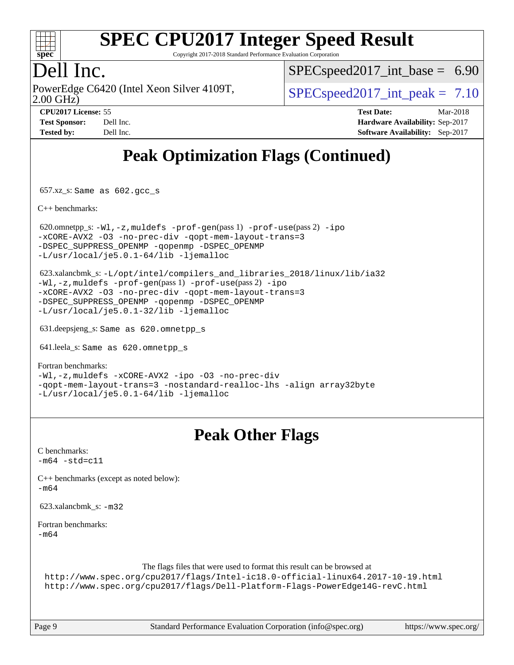

Copyright 2017-2018 Standard Performance Evaluation Corporation

### Dell Inc.

2.00 GHz) PowerEdge C6420 (Intel Xeon Silver 4109T,  $\vert$  [SPECspeed2017\\_int\\_peak =](http://www.spec.org/auto/cpu2017/Docs/result-fields.html#SPECspeed2017intpeak) 7.10

 $SPECspeed2017\_int\_base = 6.90$ 

| <b>Test Sponsor:</b> | Dell Inc. |
|----------------------|-----------|
| <b>Tested by:</b>    | Dell Inc. |

**[CPU2017 License:](http://www.spec.org/auto/cpu2017/Docs/result-fields.html#CPU2017License)** 55 **[Test Date:](http://www.spec.org/auto/cpu2017/Docs/result-fields.html#TestDate)** Mar-2018 **[Hardware Availability:](http://www.spec.org/auto/cpu2017/Docs/result-fields.html#HardwareAvailability)** Sep-2017 **[Software Availability:](http://www.spec.org/auto/cpu2017/Docs/result-fields.html#SoftwareAvailability)** Sep-2017

## **[Peak Optimization Flags \(Continued\)](http://www.spec.org/auto/cpu2017/Docs/result-fields.html#PeakOptimizationFlags)**

657.xz\_s: Same as 602.gcc\_s

[C++ benchmarks:](http://www.spec.org/auto/cpu2017/Docs/result-fields.html#CXXbenchmarks)

620.omnetpp\_s:  $-W1$ ,  $-z$ , muldefs  $-prof-qen(pass 1)$   $-prof-use(pass 2) -ipo$  $-prof-use(pass 2) -ipo$  $-prof-use(pass 2) -ipo$ [-xCORE-AVX2](http://www.spec.org/cpu2017/results/res2018q1/cpu2017-20180305-03806.flags.html#user_peakPASS2_CXXOPTIMIZE620_omnetpp_s_f-xCORE-AVX2) [-O3](http://www.spec.org/cpu2017/results/res2018q1/cpu2017-20180305-03806.flags.html#user_peakPASS1_CXXOPTIMIZEPASS2_CXXOPTIMIZE620_omnetpp_s_f-O3) [-no-prec-div](http://www.spec.org/cpu2017/results/res2018q1/cpu2017-20180305-03806.flags.html#user_peakPASS1_CXXOPTIMIZEPASS2_CXXOPTIMIZE620_omnetpp_s_f-no-prec-div) [-qopt-mem-layout-trans=3](http://www.spec.org/cpu2017/results/res2018q1/cpu2017-20180305-03806.flags.html#user_peakPASS1_CXXOPTIMIZEPASS2_CXXOPTIMIZE620_omnetpp_s_f-qopt-mem-layout-trans_de80db37974c74b1f0e20d883f0b675c88c3b01e9d123adea9b28688d64333345fb62bc4a798493513fdb68f60282f9a726aa07f478b2f7113531aecce732043) [-DSPEC\\_SUPPRESS\\_OPENMP](http://www.spec.org/cpu2017/results/res2018q1/cpu2017-20180305-03806.flags.html#suite_peakPASS1_CXXOPTIMIZE620_omnetpp_s_DSPEC_SUPPRESS_OPENMP) [-qopenmp](http://www.spec.org/cpu2017/results/res2018q1/cpu2017-20180305-03806.flags.html#user_peakPASS2_CXXOPTIMIZE620_omnetpp_s_qopenmp_16be0c44f24f464004c6784a7acb94aca937f053568ce72f94b139a11c7c168634a55f6653758ddd83bcf7b8463e8028bb0b48b77bcddc6b78d5d95bb1df2967) [-DSPEC\\_OPENMP](http://www.spec.org/cpu2017/results/res2018q1/cpu2017-20180305-03806.flags.html#suite_peakPASS2_CXXOPTIMIZE620_omnetpp_s_DSPEC_OPENMP) [-L/usr/local/je5.0.1-64/lib](http://www.spec.org/cpu2017/results/res2018q1/cpu2017-20180305-03806.flags.html#user_peakEXTRA_LIBS620_omnetpp_s_jemalloc_link_path64_4b10a636b7bce113509b17f3bd0d6226c5fb2346b9178c2d0232c14f04ab830f976640479e5c33dc2bcbbdad86ecfb6634cbbd4418746f06f368b512fced5394) [-ljemalloc](http://www.spec.org/cpu2017/results/res2018q1/cpu2017-20180305-03806.flags.html#user_peakEXTRA_LIBS620_omnetpp_s_jemalloc_link_lib_d1249b907c500fa1c0672f44f562e3d0f79738ae9e3c4a9c376d49f265a04b9c99b167ecedbf6711b3085be911c67ff61f150a17b3472be731631ba4d0471706)

 623.xalancbmk\_s: [-L/opt/intel/compilers\\_and\\_libraries\\_2018/linux/lib/ia32](http://www.spec.org/cpu2017/results/res2018q1/cpu2017-20180305-03806.flags.html#user_peakCXXLD623_xalancbmk_s_Enable-32bit-runtime_af243bdb1d79e4c7a4f720bf8275e627de2ecd461de63307bc14cef0633fde3cd7bb2facb32dcc8be9566045fb55d40ce2b72b725f73827aa7833441b71b9343) [-Wl,-z,muldefs](http://www.spec.org/cpu2017/results/res2018q1/cpu2017-20180305-03806.flags.html#user_peakEXTRA_LDFLAGS623_xalancbmk_s_link_force_multiple1_b4cbdb97b34bdee9ceefcfe54f4c8ea74255f0b02a4b23e853cdb0e18eb4525ac79b5a88067c842dd0ee6996c24547a27a4b99331201badda8798ef8a743f577) [-prof-gen](http://www.spec.org/cpu2017/results/res2018q1/cpu2017-20180305-03806.flags.html#user_peakPASS1_CXXFLAGSPASS1_LDFLAGS623_xalancbmk_s_prof_gen_5aa4926d6013ddb2a31985c654b3eb18169fc0c6952a63635c234f711e6e63dd76e94ad52365559451ec499a2cdb89e4dc58ba4c67ef54ca681ffbe1461d6b36)(pass 1) [-prof-use](http://www.spec.org/cpu2017/results/res2018q1/cpu2017-20180305-03806.flags.html#user_peakPASS2_CXXFLAGSPASS2_LDFLAGS623_xalancbmk_s_prof_use_1a21ceae95f36a2b53c25747139a6c16ca95bd9def2a207b4f0849963b97e94f5260e30a0c64f4bb623698870e679ca08317ef8150905d41bd88c6f78df73f19)(pass 2) [-ipo](http://www.spec.org/cpu2017/results/res2018q1/cpu2017-20180305-03806.flags.html#user_peakPASS1_CXXOPTIMIZEPASS2_CXXOPTIMIZE623_xalancbmk_s_f-ipo) [-xCORE-AVX2](http://www.spec.org/cpu2017/results/res2018q1/cpu2017-20180305-03806.flags.html#user_peakPASS2_CXXOPTIMIZE623_xalancbmk_s_f-xCORE-AVX2) [-O3](http://www.spec.org/cpu2017/results/res2018q1/cpu2017-20180305-03806.flags.html#user_peakPASS1_CXXOPTIMIZEPASS2_CXXOPTIMIZE623_xalancbmk_s_f-O3) [-no-prec-div](http://www.spec.org/cpu2017/results/res2018q1/cpu2017-20180305-03806.flags.html#user_peakPASS1_CXXOPTIMIZEPASS2_CXXOPTIMIZE623_xalancbmk_s_f-no-prec-div) [-qopt-mem-layout-trans=3](http://www.spec.org/cpu2017/results/res2018q1/cpu2017-20180305-03806.flags.html#user_peakPASS1_CXXOPTIMIZEPASS2_CXXOPTIMIZE623_xalancbmk_s_f-qopt-mem-layout-trans_de80db37974c74b1f0e20d883f0b675c88c3b01e9d123adea9b28688d64333345fb62bc4a798493513fdb68f60282f9a726aa07f478b2f7113531aecce732043) [-DSPEC\\_SUPPRESS\\_OPENMP](http://www.spec.org/cpu2017/results/res2018q1/cpu2017-20180305-03806.flags.html#suite_peakPASS1_CXXOPTIMIZE623_xalancbmk_s_DSPEC_SUPPRESS_OPENMP) [-qopenmp](http://www.spec.org/cpu2017/results/res2018q1/cpu2017-20180305-03806.flags.html#user_peakPASS2_CXXOPTIMIZE623_xalancbmk_s_qopenmp_16be0c44f24f464004c6784a7acb94aca937f053568ce72f94b139a11c7c168634a55f6653758ddd83bcf7b8463e8028bb0b48b77bcddc6b78d5d95bb1df2967) [-DSPEC\\_OPENMP](http://www.spec.org/cpu2017/results/res2018q1/cpu2017-20180305-03806.flags.html#suite_peakPASS2_CXXOPTIMIZE623_xalancbmk_s_DSPEC_OPENMP) [-L/usr/local/je5.0.1-32/lib](http://www.spec.org/cpu2017/results/res2018q1/cpu2017-20180305-03806.flags.html#user_peakEXTRA_LIBS623_xalancbmk_s_jemalloc_link_path32_e29f22e8e6c17053bbc6a0971f5a9c01a601a06bb1a59df2084b77a2fe0a2995b64fd4256feaeea39eeba3aae142e96e2b2b0a28974019c0c0c88139a84f900a) [-ljemalloc](http://www.spec.org/cpu2017/results/res2018q1/cpu2017-20180305-03806.flags.html#user_peakEXTRA_LIBS623_xalancbmk_s_jemalloc_link_lib_d1249b907c500fa1c0672f44f562e3d0f79738ae9e3c4a9c376d49f265a04b9c99b167ecedbf6711b3085be911c67ff61f150a17b3472be731631ba4d0471706)

631.deepsjeng\_s: Same as 620.omnetpp\_s

641.leela\_s: Same as 620.omnetpp\_s

#### [Fortran benchmarks](http://www.spec.org/auto/cpu2017/Docs/result-fields.html#Fortranbenchmarks):

[-Wl,-z,muldefs](http://www.spec.org/cpu2017/results/res2018q1/cpu2017-20180305-03806.flags.html#user_FCpeak_link_force_multiple1_b4cbdb97b34bdee9ceefcfe54f4c8ea74255f0b02a4b23e853cdb0e18eb4525ac79b5a88067c842dd0ee6996c24547a27a4b99331201badda8798ef8a743f577) [-xCORE-AVX2](http://www.spec.org/cpu2017/results/res2018q1/cpu2017-20180305-03806.flags.html#user_FCpeak_f-xCORE-AVX2) [-ipo](http://www.spec.org/cpu2017/results/res2018q1/cpu2017-20180305-03806.flags.html#user_FCpeak_f-ipo) [-O3](http://www.spec.org/cpu2017/results/res2018q1/cpu2017-20180305-03806.flags.html#user_FCpeak_f-O3) [-no-prec-div](http://www.spec.org/cpu2017/results/res2018q1/cpu2017-20180305-03806.flags.html#user_FCpeak_f-no-prec-div) [-qopt-mem-layout-trans=3](http://www.spec.org/cpu2017/results/res2018q1/cpu2017-20180305-03806.flags.html#user_FCpeak_f-qopt-mem-layout-trans_de80db37974c74b1f0e20d883f0b675c88c3b01e9d123adea9b28688d64333345fb62bc4a798493513fdb68f60282f9a726aa07f478b2f7113531aecce732043) [-nostandard-realloc-lhs](http://www.spec.org/cpu2017/results/res2018q1/cpu2017-20180305-03806.flags.html#user_FCpeak_f_2003_std_realloc_82b4557e90729c0f113870c07e44d33d6f5a304b4f63d4c15d2d0f1fab99f5daaed73bdb9275d9ae411527f28b936061aa8b9c8f2d63842963b95c9dd6426b8a) [-align array32byte](http://www.spec.org/cpu2017/results/res2018q1/cpu2017-20180305-03806.flags.html#user_FCpeak_align_array32byte_b982fe038af199962ba9a80c053b8342c548c85b40b8e86eb3cc33dee0d7986a4af373ac2d51c3f7cf710a18d62fdce2948f201cd044323541f22fc0fffc51b6) [-L/usr/local/je5.0.1-64/lib](http://www.spec.org/cpu2017/results/res2018q1/cpu2017-20180305-03806.flags.html#user_FCpeak_jemalloc_link_path64_4b10a636b7bce113509b17f3bd0d6226c5fb2346b9178c2d0232c14f04ab830f976640479e5c33dc2bcbbdad86ecfb6634cbbd4418746f06f368b512fced5394) [-ljemalloc](http://www.spec.org/cpu2017/results/res2018q1/cpu2017-20180305-03806.flags.html#user_FCpeak_jemalloc_link_lib_d1249b907c500fa1c0672f44f562e3d0f79738ae9e3c4a9c376d49f265a04b9c99b167ecedbf6711b3085be911c67ff61f150a17b3472be731631ba4d0471706)

#### **[Peak Other Flags](http://www.spec.org/auto/cpu2017/Docs/result-fields.html#PeakOtherFlags)**

[C benchmarks](http://www.spec.org/auto/cpu2017/Docs/result-fields.html#Cbenchmarks):  $-m64 - std= c11$  $-m64 - std= c11$ [C++ benchmarks \(except as noted below\):](http://www.spec.org/auto/cpu2017/Docs/result-fields.html#CXXbenchmarksexceptasnotedbelow) [-m64](http://www.spec.org/cpu2017/results/res2018q1/cpu2017-20180305-03806.flags.html#user_CXXpeak_intel_intel64_18.0_af43caccfc8ded86e7699f2159af6efc7655f51387b94da716254467f3c01020a5059329e2569e4053f409e7c9202a7efc638f7a6d1ffb3f52dea4a3e31d82ab) 623.xalancbmk\_s: [-m32](http://www.spec.org/cpu2017/results/res2018q1/cpu2017-20180305-03806.flags.html#user_peakCXXLD623_xalancbmk_s_intel_ia32_18.0_2666f1173eb60787016b673bfe1358e27016ef7649ea4884b7bc6187fd89dc221d14632e22638cde1c647a518de97358ab15d4ad098ee4e19a8b28d0c25e14bf) [Fortran benchmarks](http://www.spec.org/auto/cpu2017/Docs/result-fields.html#Fortranbenchmarks): [-m64](http://www.spec.org/cpu2017/results/res2018q1/cpu2017-20180305-03806.flags.html#user_FCpeak_intel_intel64_18.0_af43caccfc8ded86e7699f2159af6efc7655f51387b94da716254467f3c01020a5059329e2569e4053f409e7c9202a7efc638f7a6d1ffb3f52dea4a3e31d82ab) The flags files that were used to format this result can be browsed at <http://www.spec.org/cpu2017/flags/Intel-ic18.0-official-linux64.2017-10-19.html> <http://www.spec.org/cpu2017/flags/Dell-Platform-Flags-PowerEdge14G-revC.html>